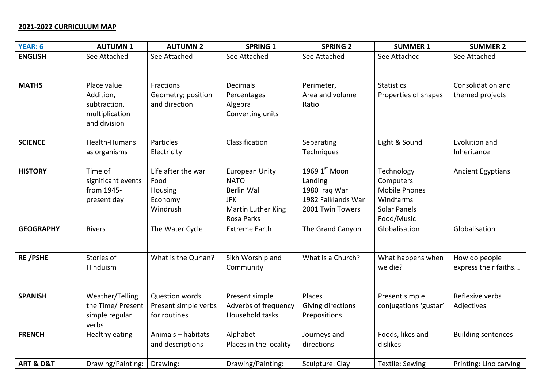## **2021-2022 CURRICULUM MAP**

| <b>YEAR: 6</b>           | <b>AUTUMN1</b>                                                             | <b>AUTUMN 2</b>                                                     | <b>SPRING 1</b>                                                                                                     | <b>SPRING 2</b>                                                                         | <b>SUMMER 1</b>                                                                            | <b>SUMMER 2</b>                       |
|--------------------------|----------------------------------------------------------------------------|---------------------------------------------------------------------|---------------------------------------------------------------------------------------------------------------------|-----------------------------------------------------------------------------------------|--------------------------------------------------------------------------------------------|---------------------------------------|
| <b>ENGLISH</b>           | See Attached                                                               | See Attached                                                        | See Attached                                                                                                        | See Attached                                                                            | See Attached                                                                               | See Attached                          |
|                          |                                                                            |                                                                     |                                                                                                                     |                                                                                         |                                                                                            |                                       |
| <b>MATHS</b>             | Place value<br>Addition,<br>subtraction,<br>multiplication<br>and division | Fractions<br>Geometry; position<br>and direction                    | <b>Decimals</b><br>Percentages<br>Algebra<br>Converting units                                                       | Perimeter,<br>Area and volume<br>Ratio                                                  | <b>Statistics</b><br>Properties of shapes                                                  | Consolidation and<br>themed projects  |
| <b>SCIENCE</b>           | Health-Humans<br>as organisms                                              | Particles<br>Electricity                                            | Classification                                                                                                      | Separating<br><b>Techniques</b>                                                         | Light & Sound                                                                              | Evolution and<br>Inheritance          |
| <b>HISTORY</b>           | Time of<br>significant events<br>from 1945-<br>present day                 | Life after the war<br>Food<br><b>Housing</b><br>Economy<br>Windrush | <b>European Unity</b><br><b>NATO</b><br><b>Berlin Wall</b><br><b>JFK</b><br>Martin Luther King<br><b>Rosa Parks</b> | $1969$ $1st$ Moon<br>Landing<br>1980 Iraq War<br>1982 Falklands War<br>2001 Twin Towers | Technology<br>Computers<br>Mobile Phones<br>Windfarms<br><b>Solar Panels</b><br>Food/Music | <b>Ancient Egyptians</b>              |
| <b>GEOGRAPHY</b>         | Rivers                                                                     | The Water Cycle                                                     | <b>Extreme Earth</b>                                                                                                | The Grand Canyon                                                                        | Globalisation                                                                              | Globalisation                         |
| <b>RE/PSHE</b>           | Stories of<br>Hinduism                                                     | What is the Qur'an?                                                 | Sikh Worship and<br>Community                                                                                       | What is a Church?                                                                       | What happens when<br>we die?                                                               | How do people<br>express their faiths |
| <b>SPANISH</b>           | Weather/Telling<br>the Time/ Present<br>simple regular<br>verbs            | Question words<br>Present simple verbs<br>for routines              | Present simple<br>Adverbs of frequency<br>Household tasks                                                           | Places<br>Giving directions<br>Prepositions                                             | Present simple<br>conjugations 'gustar'                                                    | Reflexive verbs<br>Adjectives         |
| <b>FRENCH</b>            | Healthy eating                                                             | Animals - habitats<br>and descriptions                              | Alphabet<br>Places in the locality                                                                                  | Journeys and<br>directions                                                              | Foods, likes and<br>dislikes                                                               | <b>Building sentences</b>             |
| <b>ART &amp; D&amp;T</b> | Drawing/Painting:                                                          | Drawing:                                                            | Drawing/Painting:                                                                                                   | Sculpture: Clay                                                                         | <b>Textile: Sewing</b>                                                                     | Printing: Lino carving                |